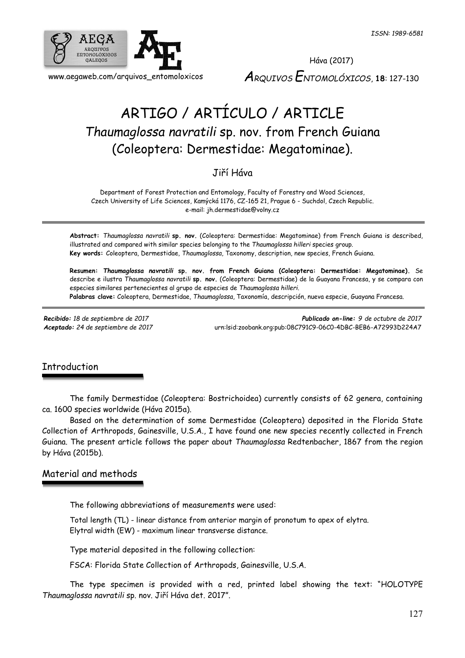

# ARTIGO / ARTÍCULO / ARTICLE *Thaumaglossa navratili* sp. nov. from French Guiana (Coleoptera: Dermestidae: Megatominae).

Jiří Háva

Department of Forest Protection and Entomology, Faculty of Forestry and Wood Sciences, Czech University of Life Sciences, Kamýcká 1176, CZ-165 21, Prague 6 - Suchdol, Czech Republic. e-mail: jh.dermestidae@volny.cz

**Abstract:** *Thaumaglossa navratili* **sp. nov.** (Coleoptera: Dermestidae: Megatominae) from French Guiana is described, illustrated and compared with similar species belonging to the *Thaumaglossa hilleri* species group. **Key words:** Coleoptera, Dermestidae, *Thaumaglossa*, Taxonomy, description, new species, French Guiana.

**Resumen:** *Thaumaglossa navratili* **sp. nov. from French Guiana (Coleoptera: Dermestidae: Megatominae).** Se describe e ilustra *Thaumaglossa navratili* **sp. nov.** (Coleoptera: Dermestidae) de la Guayana Francesa, y se compara con especies similares pertenecientes al grupo de especies de *Thaumaglossa hilleri*. **Palabras clave:** Coleoptera, Dermestidae, *Thaumaglossa*, Taxonomía, descripción, nueva especie, Guayana Francesa.

*Recibido: 18 de septiembre de 2017 Publicado on-line: 9 de octubre de 2017 Aceptado: 24 de septiembre de 2017* [urn:lsid:zoobank.org:pub:08C791C9-06C0-4DBC-BEB6-A72993D224A7](http://www.zoobank.org/urn:lsid:zoobank.org:pub:08C791C9-06C0-4DBC-BEB6-A72993D224A7)

# **Introduction**

The family Dermestidae (Coleoptera: Bostrichoidea) currently consists of 62 genera, containing ca. 1600 species worldwide (Háva 2015a).

Based on the determination of some Dermestidae (Coleoptera) deposited in the Florida State Collection of Arthropods, Gainesville, U.S.A., I have found one new species recently collected in French Guiana. The present article follows the paper about *Thaumaglossa* Redtenbacher, 1867 from the region by Háva (2015b).

# Material and methods

The following abbreviations of measurements were used:

Total length (TL) - linear distance from anterior margin of pronotum to apex of elytra. Elytral width (EW) - maximum linear transverse distance.

Type material deposited in the following collection:

FSCA: Florida State Collection of Arthropods, Gainesville, U.S.A.

The type specimen is provided with a red, printed label showing the text: "HOLOTYPE *Thaumaglossa navratili* sp. nov. Jiří Háva det. 2017".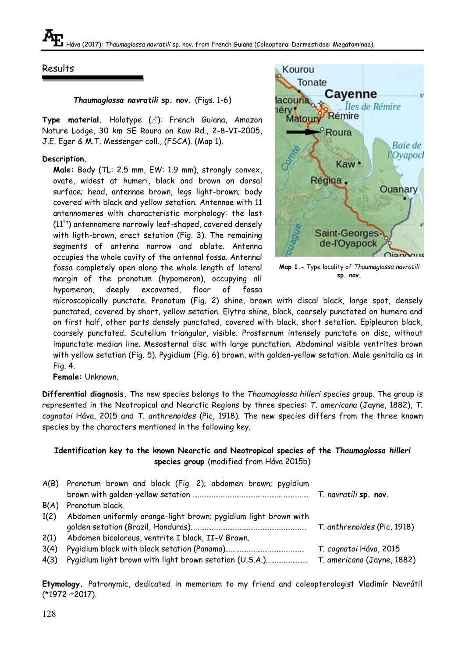### Results

*Thaumaglossa navratili* **sp. nov.** (Figs. 1-6)

**Type material.** Holotype (♂): French Guiana, Amazon Nature Lodge, 30 km SE Roura on Kaw Rd., 2-8-VI-2005, J.E. Eger & M.T. Messenger coll., (FSCA). (Map 1).

#### **Description.**

**Male:** Body (TL: 2.5 mm, EW: 1.9 mm), strongly convex, ovate, widest at humeri, black and brown on dorsal surface; head, antennae brown, legs light-brown; body covered with black and yellow setation. Antennae with 11 antennomeres with characteristic morphology: the last  $(11<sup>th</sup>)$  antennomere narrowly leaf-shaped, covered densely with ligth-brown, erect setation (Fig. 3). The remaining segments of antenna narrow and oblate. Antenna occupies the whole cavity of the antennal fossa. Antennal fossa completely open along the whole length of lateral margin of the pronotum (hypomeron), occupying all hypomeron, deeply excavated, floor of fossa



**Map 1.-** Type locality of *Thaumaglossa navratili* **sp. nov.**

microscopically punctate. Pronotum (Fig. 2) shine, brown with discal black, large spot, densely punctated, covered by short, yellow setation. Elytra shine, black, coarsely punctated on humera and on first half, other parts densely punctated, covered with black, short setation. Epipleuron black, coarsely punctated. Scutellum triangular, visible. Prosternum intensely punctate on disc, without impunctate median line. Mesosternal disc with large punctation. Abdominal visible ventrites brown with yellow setation (Fig. 5). Pygidium (Fig. 6) brown, with golden-yellow setation. Male genitalia as in Fig. 4.

**Female:** Unknown.

**Differential diagnosis.** The new species belongs to the *Thaumaglossa hilleri* species group. The group is represented in the Neotropical and Nearctic Regions by three species: *T. americana* (Jayne, 1882), *T*. *cognatoi* Háva, 2015 and *T. anthrenoides* (Pic, 1918). The new species differs from the three known species by the characters mentioned in the following key.

#### **Identification key to the known Nearctic and Neotropical species of the** *Thaumaglossa hilleri*  **species group** (modified from Háva 2015b)

|      | A(B) Pronotum brown and black (Fig. 2); abdomen brown; pyqidium |                             |
|------|-----------------------------------------------------------------|-----------------------------|
|      |                                                                 |                             |
|      | B(A) Pronotum black.                                            |                             |
| 1(2) | Abdomen uniformly orange-light brown; pygidium light brown with |                             |
|      |                                                                 | T. anthrenoides (Pic, 1918) |
| 2(1) | Abdomen bicolorous, ventrite I black, II-V Brown.               |                             |
| 3(4) |                                                                 | T. cognatoi Háva, 2015      |
|      | 4(3) Pygidium light brown with light brown setation (U.S.A.)    | T. americana (Jayne, 1882)  |

**Etymology.** Patronymic, dedicated in memoriam to my friend and coleopterologist Vladimír Navrátil (\*1972-†2017).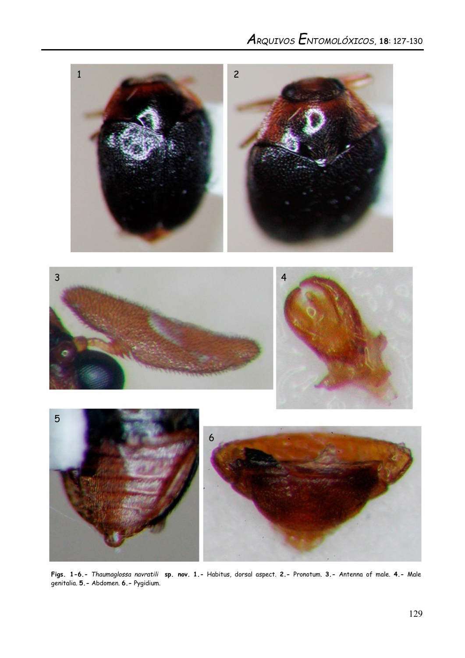

**Figs. 1-6.-** *Thaumaglossa navratili* **sp. nov. 1.-** Habitus, dorsal aspect. **2.-** Pronotum. **3.-** Antenna of male. **4.-** Male genitalia. **5.-** Abdomen. **6.-** Pygidium.